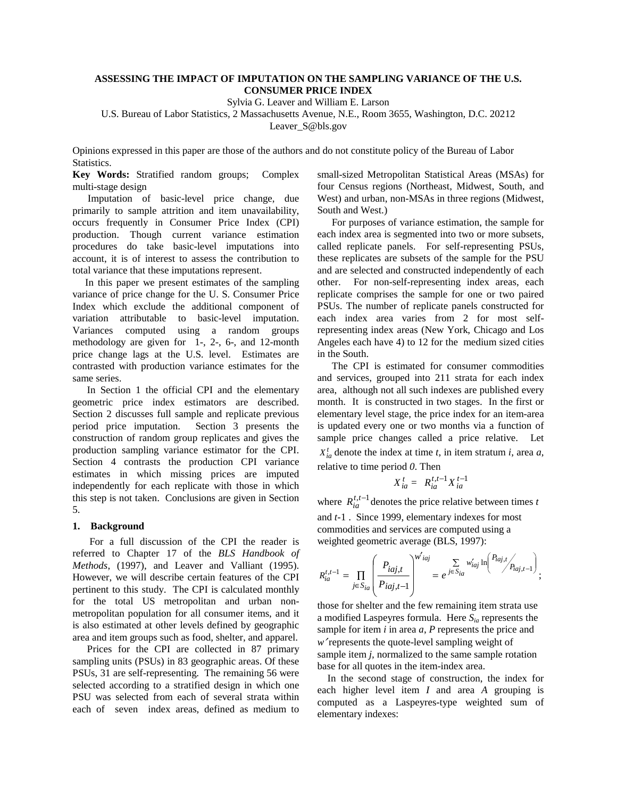# **ASSESSING THE IMPACT OF IMPUTATION ON THE SAMPLING VARIANCE OF THE U.S. CONSUMER PRICE INDEX**

Sylvia G. Leaver and William E. Larson

U.S. Bureau of Labor Statistics, 2 Massachusetts Avenue, N.E., Room 3655, Washington, D.C. 20212

Leaver\_S@bls.gov

Opinions expressed in this paper are those of the authors and do not constitute policy of the Bureau of Labor Statistics.

**Key Words:** Stratified random groups; Complex multi-stage design

 Imputation of basic-level price change, due primarily to sample attrition and item unavailability, occurs frequently in Consumer Price Index (CPI) production. Though current variance estimation procedures do take basic-level imputations into account, it is of interest to assess the contribution to total variance that these imputations represent.

 In this paper we present estimates of the sampling variance of price change for the U. S. Consumer Price Index which exclude the additional component of variation attributable to basic-level imputation. Variances computed using a random groups methodology are given for 1-, 2-, 6-, and 12-month price change lags at the U.S. level. Estimates are contrasted with production variance estimates for the same series.

In Section 1 the official CPI and the elementary geometric price index estimators are described. Section 2 discusses full sample and replicate previous period price imputation. Section 3 presents the construction of random group replicates and gives the production sampling variance estimator for the CPI. Section 4 contrasts the production CPI variance estimates in which missing prices are imputed independently for each replicate with those in which this step is not taken. Conclusions are given in Section 5.

### **1. Background**

For a full discussion of the CPI the reader is referred to Chapter 17 of the *BLS Handbook of Methods*, (1997), and Leaver and Valliant (1995). However, we will describe certain features of the CPI pertinent to this study. The CPI is calculated monthly for the total US metropolitan and urban nonmetropolitan population for all consumer items, and it is also estimated at other levels defined by geographic area and item groups such as food, shelter, and apparel.

Prices for the CPI are collected in 87 primary sampling units (PSUs) in 83 geographic areas. Of these PSUs, 31 are self-representing. The remaining 56 were selected according to a stratified design in which one PSU was selected from each of several strata within each of seven index areas, defined as medium to small-sized Metropolitan Statistical Areas (MSAs) for four Census regions (Northeast, Midwest, South, and West) and urban, non-MSAs in three regions (Midwest, South and West.)

For purposes of variance estimation, the sample for each index area is segmented into two or more subsets, called replicate panels. For self-representing PSUs, these replicates are subsets of the sample for the PSU and are selected and constructed independently of each other. For non-self-representing index areas, each replicate comprises the sample for one or two paired PSUs. The number of replicate panels constructed for each index area varies from 2 for most selfrepresenting index areas (New York, Chicago and Los Angeles each have 4) to 12 for the medium sized cities in the South.

The CPI is estimated for consumer commodities and services, grouped into 211 strata for each index area, although not all such indexes are published every month. It is constructed in two stages. In the first or elementary level stage, the price index for an item-area is updated every one or two months via a function of sample price changes called a price relative. Let  $X_{ia}^t$  denote the index at time *t*, in item stratum *i*, area *a*, relative to time period *0*. Then

$$
X_{ia}^t = R_{ia}^{t,t-1} X_{ia}^{t-1}
$$

where  $R_{ia}^{t,t-1}$  denotes the price relative between times *t* and *t-*1 . Since 1999, elementary indexes for most commodities and services are computed using a weighted geometric average (BLS, 1997):

$$
R_{ia}^{t,t-1} = \prod_{j \in S_{ia}} \left( \frac{P_{iaj,t}}{P_{iaj,t-1}} \right)^{w'_{iaj}} = e^{j \in S_{ia}} \sum_{j \in S_{ia}} w'_{iaj} \ln \left( \frac{P_{iaj,t}}{P_{iaj,t-1}} \right);
$$

 those for shelter and the few remaining item strata use a modified Laspeyres formula. Here *Sia* represents the sample for item *i* in area *a*, *P* represents the price and *w*′ represents the quote-level sampling weight of sample item *j,* normalized to the same sample rotation base for all quotes in the item-index area.

 In the second stage of construction, the index for each higher level item *I* and area *A* grouping is computed as a Laspeyres-type weighted sum of elementary indexes: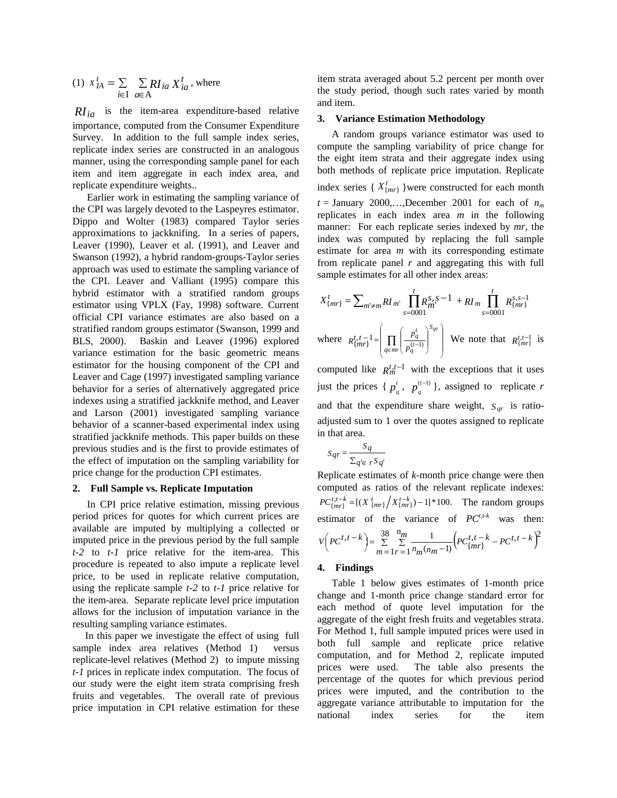(1) 
$$
x_{IA}^t = \sum_{i \in I} \sum_{a \in A} RI_{ia} X_{ia}^t
$$
, where

*RI<sub>ia</sub>* is the item-area expenditure-based relative importance, computed from the Consumer Expenditure Survey. In addition to the full sample index series, replicate index series are constructed in an analogous manner, using the corresponding sample panel for each item and item aggregate in each index area, and replicate expenditure weights..

Earlier work in estimating the sampling variance of the CPI was largely devoted to the Laspeyres estimator. Dippo and Wolter (1983) compared Taylor series approximations to jackknifing. In a series of papers, Leaver (1990), Leaver et al. (1991), and Leaver and Swanson (1992), a hybrid random-groups-Taylor series approach was used to estimate the sampling variance of the CPI. Leaver and Valliant (1995) compare this hybrid estimator with a stratified random groups estimator using VPLX (Fay, 1998) software. Current official CPI variance estimates are also based on a stratified random groups estimator (Swanson, 1999 and BLS, 2000). Baskin and Leaver (1996) explored variance estimation for the basic geometric means estimator for the housing component of the CPI and Leaver and Cage (1997) investigated sampling variance behavior for a series of alternatively aggregated price indexes using a stratified jackknife method, and Leaver and Larson (2001) investigated sampling variance behavior of a scanner-based experimental index using stratified jackknife methods. This paper builds on these previous studies and is the first to provide estimates of the effect of imputation on the sampling variability for price change for the production CPI estimates.

#### **2. Full Sample vs. Replicate Imputation**

 In CPI price relative estimation, missing previous period prices for quotes for which current prices are available are imputed by multiplying a collected or imputed price in the previous period by the full sample *t-2* to *t-1* price relative for the item-area. This procedure is repeated to also impute a replicate level price, to be used in replicate relative computation, using the replicate sample *t-2* to *t-1* price relative for the item-area. Separate replicate level price imputation allows for the inclusion of imputation variance in the resulting sampling variance estimates.

 In this paper we investigate the effect of using full sample index area relatives (Method 1) versus replicate-level relatives (Method 2) to impute missing *t-1* prices in replicate index computation. The focus of our study were the eight item strata comprising fresh fruits and vegetables. The overall rate of previous price imputation in CPI relative estimation for these item strata averaged about 5.2 percent per month over the study period, though such rates varied by month and item.

#### **3. Variance Estimation Methodology**

A random groups variance estimator was used to compute the sampling variability of price change for the eight item strata and their aggregate index using both methods of replicate price imputation. Replicate index series { $X^t_{\{mr\}}$ }were constructed for each month  $t =$  January 2000,...,December 2001 for each of  $n_m$ replicates in each index area *m* in the following manner: For each replicate series indexed by *mr*, the index was computed by replacing the full sample estimate for area *m* with its corresponding estimate from replicate panel *r* and aggregating this with full sample estimates for all other index areas:

$$
X_{\{mr\}}^{t} = \sum_{m' \neq m} RI_m \prod_{s=0001}^{t} R_m^{s,s-1} + RI_m \prod_{s=0001}^{t} R_{\{mr\}}^{s,s-1}
$$
  
where 
$$
R_{\{mr\}}^{t,t-1} = \left( \prod_{q \in mr} \left( \frac{p_q^{t}}{p_q^{(t-1)}} \right)^{s_{qr}} \right)
$$
 We note that  $R_{\{mr\}}^{t,t-1}$  is

computed like  $R_m^{t,t-1}$  with the exceptions that it uses just the prices {  $p_q^t$ ,  $p_q^{(t)}$  $\binom{(t-1)}{s}$ , assigned to replicate *r* and that the expenditure share weight,  $S_{qr}$  is ratioadjusted sum to 1 over the quotes assigned to replicate in that area.

$$
S_{qr} = \frac{S_q}{\sum_{q' \in \ r} S_{q'}}
$$

Replicate estimates of *k*-month price change were then computed as ratios of the relevant replicate indexes:  $PC^{t,t-k}_{\{mr\}} = [(X^{t}_{\{mr\}}/X^{t-k}_{\{mr\}}) - 1] * 100$ . The random groups estimator of the variance of  $PC^{t,t-k}$  was then:  $\sum_{i=1}^{n} \sum_{r=1}^{n} \frac{1}{n_m (n_m-1)} \Big( PC_{\{mr\}}^{l,t-k} - PC^{l,t-k} \Big)$  $\left( PC^{t,t-k} \right) = \sum_{m=1}^{50} \sum_{r=1}^{6m} \frac{1}{n_m (n_m-1)} \left( PC^{t,t-k}_{\{mr\}} - PC^{t,t-k} \right)$  $\left( PC^{t,t-k} \right) = \sum_{m=1}^{38} \sum_{r=1}^{n_m} \frac{1}{n_m (n_m-1)} \left( PC^{t,t-k}_{\{mr\}} - PC^{t,t-k} \right)^2$  $(n_m - 1)$  $(t-k) = \frac{38}{5} \frac{m_m}{s} = \frac{1}{5}$ *m*  $n_{\underline{m}}$  $V\left(PC^{t,t-k}\right) = \sum_{m=1}^{50} \sum_{r=1}^{6m} \frac{1}{n_m (n_m-1)} \left(PC^{t,t-k}_{\{mr\}} - PC^{t,t-k}\right)$ 

### **4. Findings**

 Table 1 below gives estimates of 1-month price change and 1-month price change standard error for each method of quote level imputation for the aggregate of the eight fresh fruits and vegetables strata. For Method 1, full sample imputed prices were used in both full sample and replicate price relative computation, and for Method 2, replicate imputed prices were used. The table also presents the percentage of the quotes for which previous period prices were imputed, and the contribution to the aggregate variance attributable to imputation for the national index series for the item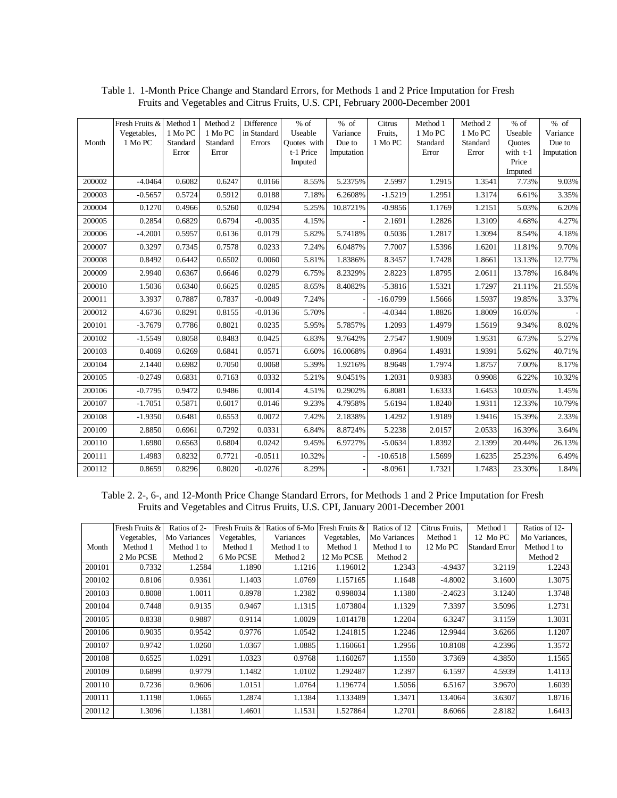|        | Fresh Fruits & | Method 1 | Method <sub>2</sub> | Difference  | $%$ of      | % of       | Citrus     | Method 1 | Method 2 | % of             | $%$ of     |
|--------|----------------|----------|---------------------|-------------|-------------|------------|------------|----------|----------|------------------|------------|
|        | Vegetables,    | 1 Mo PC  | 1 Mo PC             | in Standard | Useable     | Variance   | Fruits.    | 1 Mo PC  | 1 Mo PC  | Useable          | Variance   |
| Month  | 1 Mo PC        | Standard | Standard            | Errors      | Quotes with | Due to     | 1 Mo PC    | Standard | Standard | <b>Ouotes</b>    | Due to     |
|        |                | Error    | Error               |             | t-1 Price   | Imputation |            | Error    | Error    | with t-1         | Imputation |
|        |                |          |                     |             | Imputed     |            |            |          |          | Price            |            |
| 200002 | $-4.0464$      | 0.6082   | 0.6247              | 0.0166      | 8.55%       | 5.2375%    | 2.5997     | 1.2915   | 1.3541   | Imputed<br>7.73% | 9.03%      |
|        |                |          |                     |             |             |            |            |          |          |                  |            |
| 200003 | $-0.5657$      | 0.5724   | 0.5912              | 0.0188      | 7.18%       | 6.2608%    | $-1.5219$  | 1.2951   | 1.3174   | 6.61%            | 3.35%      |
| 200004 | 0.1270         | 0.4966   | 0.5260              | 0.0294      | 5.25%       | 10.8721%   | $-0.9856$  | 1.1769   | 1.2151   | 5.03%            | 6.20%      |
| 200005 | 0.2854         | 0.6829   | 0.6794              | $-0.0035$   | 4.15%       |            | 2.1691     | 1.2826   | 1.3109   | 4.68%            | 4.27%      |
| 200006 | $-4.2001$      | 0.5957   | 0.6136              | 0.0179      | 5.82%       | 5.7418%    | 0.5036     | 1.2817   | 1.3094   | 8.54%            | 4.18%      |
| 200007 | 0.3297         | 0.7345   | 0.7578              | 0.0233      | 7.24%       | 6.0487%    | 7.7007     | 1.5396   | 1.6201   | 11.81%           | 9.70%      |
| 200008 | 0.8492         | 0.6442   | 0.6502              | 0.0060      | 5.81%       | 1.8386%    | 8.3457     | 1.7428   | 1.8661   | 13.13%           | 12.77%     |
| 200009 | 2.9940         | 0.6367   | 0.6646              | 0.0279      | 6.75%       | 8.2329%    | 2.8223     | 1.8795   | 2.0611   | 13.78%           | 16.84%     |
| 200010 | 1.5036         | 0.6340   | 0.6625              | 0.0285      | 8.65%       | 8.4082%    | $-5.3816$  | 1.5321   | 1.7297   | 21.11%           | 21.55%     |
| 200011 | 3.3937         | 0.7887   | 0.7837              | $-0.0049$   | 7.24%       |            | $-16.0799$ | 1.5666   | 1.5937   | 19.85%           | 3.37%      |
| 200012 | 4.6736         | 0.8291   | 0.8155              | $-0.0136$   | 5.70%       |            | $-4.0344$  | 1.8826   | 1.8009   | 16.05%           |            |
| 200101 | $-3.7679$      | 0.7786   | 0.8021              | 0.0235      | 5.95%       | 5.7857%    | 1.2093     | 1.4979   | 1.5619   | 9.34%            | 8.02%      |
| 200102 | $-1.5549$      | 0.8058   | 0.8483              | 0.0425      | 6.83%       | 9.7642%    | 2.7547     | 1.9009   | 1.9531   | 6.73%            | 5.27%      |
| 200103 | 0.4069         | 0.6269   | 0.6841              | 0.0571      | 6.60%       | 16.0068%   | 0.8964     | 1.4931   | 1.9391   | 5.62%            | 40.71%     |
| 200104 | 2.1440         | 0.6982   | 0.7050              | 0.0068      | 5.39%       | 1.9216%    | 8.9648     | 1.7974   | 1.8757   | 7.00%            | 8.17%      |
| 200105 | $-0.2749$      | 0.6831   | 0.7163              | 0.0332      | 5.21%       | 9.0451%    | 1.2031     | 0.9383   | 0.9908   | 6.22%            | 10.32%     |
| 200106 | $-0.7795$      | 0.9472   | 0.9486              | 0.0014      | 4.51%       | 0.2902%    | 6.8081     | 1.6333   | 1.6453   | 10.05%           | 1.45%      |
| 200107 | $-1.7051$      | 0.5871   | 0.6017              | 0.0146      | 9.23%       | 4.7958%    | 5.6194     | 1.8240   | 1.9311   | 12.33%           | 10.79%     |
| 200108 | $-1.9350$      | 0.6481   | 0.6553              | 0.0072      | 7.42%       | 2.1838%    | 1.4292     | 1.9189   | 1.9416   | 15.39%           | 2.33%      |
| 200109 | 2.8850         | 0.6961   | 0.7292              | 0.0331      | 6.84%       | 8.8724%    | 5.2238     | 2.0157   | 2.0533   | 16.39%           | 3.64%      |
| 200110 | 1.6980         | 0.6563   | 0.6804              | 0.0242      | 9.45%       | 6.9727%    | $-5.0634$  | 1.8392   | 2.1399   | 20.44%           | 26.13%     |
| 200111 | 1.4983         | 0.8232   | 0.7721              | $-0.0511$   | 10.32%      |            | $-10.6518$ | 1.5699   | 1.6235   | 25.23%           | 6.49%      |
| 200112 | 0.8659         | 0.8296   | 0.8020              | $-0.0276$   | 8.29%       |            | $-8.0961$  | 1.7321   | 1.7483   | 23.30%           | 1.84%      |

Table 1. 1-Month Price Change and Standard Errors, for Methods 1 and 2 Price Imputation for Fresh Fruits and Vegetables and Citrus Fruits, U.S. CPI, February 2000-December 2001

Table 2. 2-, 6-, and 12-Month Price Change Standard Errors, for Methods 1 and 2 Price Imputation for Fresh Fruits and Vegetables and Citrus Fruits, U.S. CPI, January 2001-December 2001

|        | Fresh Fruits & | Ratios of 2- | Fresh Fruits & | Ratios of 6-Mo | Fresh Fruits & | Ratios of 12 | Citrus Fruits, | Method 1              | Ratios of 12- |
|--------|----------------|--------------|----------------|----------------|----------------|--------------|----------------|-----------------------|---------------|
|        | Vegetables,    | Mo Variances | Vegetables,    | Variances      | Vegetables,    | Mo Variances | Method 1       | 12 MoPC               | Mo Variances, |
| Month  | Method 1       | Method 1 to  | Method 1       | Method 1 to    | Method 1       | Method 1 to  | 12 Mo PC       | <b>Standard Error</b> | Method 1 to   |
|        | 2 Mo PCSE      | Method 2     | 6 Mo PCSE      | Method 2       | 12 Mo PCSE     | Method 2     |                |                       | Method 2      |
| 200101 | 0.7332         | 1.2584       | 1.1890         | 1.1216         | 1.196012       | 1.2343       | $-4.9437$      | 3.2119                | 1.2243        |
| 200102 | 0.8106         | 0.9361       | 1.1403         | 1.0769         | 1.157165       | 1.1648       | $-4.8002$      | 3.1600                | 1.3075        |
| 200103 | 0.8008         | 1.0011       | 0.8978         | 1.2382         | 0.998034       | 1.1380       | $-2.4623$      | 3.1240                | 1.3748        |
| 200104 | 0.7448         | 0.9135       | 0.9467         | 1.1315         | 1.073804       | 1.1329       | 7.3397         | 3.5096                | 1.2731        |
| 200105 | 0.8338         | 0.9887       | 0.9114         | 1.0029         | 1.014178       | 1.2204       | 6.3247         | 3.1159                | 1.3031        |
| 200106 | 0.9035         | 0.9542       | 0.9776         | 1.0542         | 1.241815       | 1.2246       | 12.9944        | 3.6266                | 1.1207        |
| 200107 | 0.9742         | 1.0260       | 1.0367         | 1.0885         | 1.160661       | 1.2956       | 10.8108        | 4.2396                | 1.3572        |
| 200108 | 0.6525         | 1.0291       | 1.0323         | 0.9768         | 1.160267       | 1.1550       | 3.7369         | 4.3850                | 1.1565        |
| 200109 | 0.6899         | 0.9779       | 1.1482         | 1.0102         | 1.292487       | 1.2397       | 6.1597         | 4.5939                | 1.4113        |
| 200110 | 0.7236         | 0.9606       | 1.0151         | 1.0764         | 1.196774       | 1.5056       | 6.5167         | 3.9670                | 1.6039        |
| 200111 | 1.1198         | 1.0665       | 1.2874         | 1.1384         | 1.133489       | 1.3471       | 13.4064        | 3.6307                | 1.8716        |
| 200112 | 1.3096         | 1.1381       | 1.4601         | 1.1531         | 1.527864       | 1.2701       | 8.6066         | 2.8182                | 1.6413        |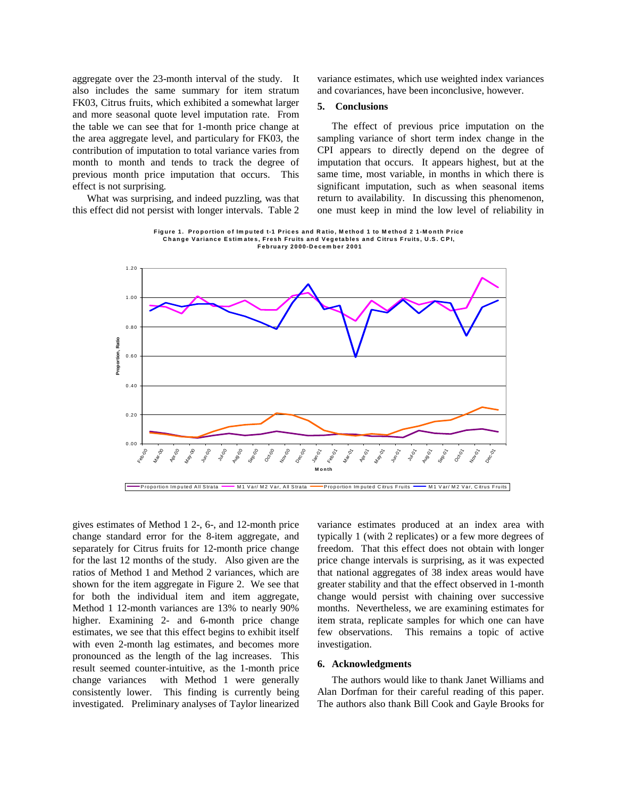aggregate over the 23-month interval of the study. It also includes the same summary for item stratum FK03, Citrus fruits, which exhibited a somewhat larger and more seasonal quote level imputation rate. From the table we can see that for 1-month price change at the area aggregate level, and particulary for FK03, the contribution of imputation to total variance varies from month to month and tends to track the degree of previous month price imputation that occurs. This effect is not surprising.

What was surprising, and indeed puzzling, was that this effect did not persist with longer intervals. Table 2 variance estimates, which use weighted index variances and covariances, have been inconclusive, however.

#### **5. Conclusions**

 The effect of previous price imputation on the sampling variance of short term index change in the CPI appears to directly depend on the degree of imputation that occurs. It appears highest, but at the same time, most variable, in months in which there is significant imputation, such as when seasonal items return to availability. In discussing this phenomenon, one must keep in mind the low level of reliability in

**Figure 1. Proportion of Im puted t-1 Prices and Ratio, M ethod 1 to M ethod 2 1-M onth Price Change Variance Estim ates, Fresh Fruits and Vegetables and Citrus Fruits, U.S. CPI, February 2000-Decem ber 2001**



gives estimates of Method 1 2-, 6-, and 12-month price change standard error for the 8-item aggregate, and separately for Citrus fruits for 12-month price change for the last 12 months of the study. Also given are the ratios of Method 1 and Method 2 variances, which are shown for the item aggregate in Figure 2. We see that for both the individual item and item aggregate, Method 1 12-month variances are 13% to nearly 90% higher. Examining 2- and 6-month price change estimates, we see that this effect begins to exhibit itself with even 2-month lag estimates, and becomes more pronounced as the length of the lag increases. This result seemed counter-intuitive, as the 1-month price change variances with Method 1 were generally consistently lower. This finding is currently being investigated. Preliminary analyses of Taylor linearized variance estimates produced at an index area with typically 1 (with 2 replicates) or a few more degrees of freedom. That this effect does not obtain with longer price change intervals is surprising, as it was expected that national aggregates of 38 index areas would have greater stability and that the effect observed in 1-month change would persist with chaining over successive months. Nevertheless, we are examining estimates for item strata, replicate samples for which one can have few observations. This remains a topic of active investigation.

## **6. Acknowledgments**

 The authors would like to thank Janet Williams and Alan Dorfman for their careful reading of this paper. The authors also thank Bill Cook and Gayle Brooks for